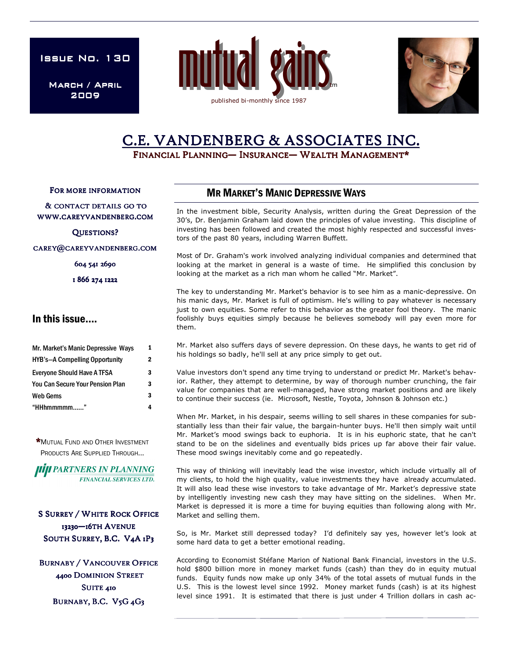**ISSUE NO. 130** 

March / April 2009





# C.E. VANDENBERG & ASSOCIATES INC.

FINANCIAL PLANNING— INSURANCE— WEALTH MANAGEMENT\*

FOR MORE INFORMATION

& CONTACT DETAILS GO TO WWW.CAREYVANDENBERG.COM

QUESTIONS?

CAREY@CAREYVANDENBERG.COM

604 541 2690

1 866 274 1222

### In this issue….

| Mr. Market's Manic Depressive Ways<br><b>HYB's-A Compelling Opportunity</b><br><b>Everyone Should Have A TFSA</b><br>You Can Secure Your Pension Plan<br>Web Gems<br>"HHhmmmmm" | 1<br>2<br>3<br>3<br>3 |  |
|---------------------------------------------------------------------------------------------------------------------------------------------------------------------------------|-----------------------|--|
|                                                                                                                                                                                 |                       |  |

\*MUTUAL FUND AND OTHER INVESTMENT PRODUCTS ARE SUPPLIED THROUGH...

*IIIII PARTNERS IN PLANNING* **FINANCIAL SERVICES LTD.** 

**S SURREY / WHITE ROCK OFFICE** 13230-16TH AVENUE SOUTH SURREY, B.C. V4A 1P3

**BURNABY / VANCOUVER OFFICE** 4400 DOMINION STREET SUITE 410 BURNABY, B.C. V5G 4G3

### MR MARKET'S MANIC DEPRESSIVE WAYS

In the investment bible, Security Analysis, written during the Great Depression of the 30's, Dr. Benjamin Graham laid down the principles of value investing. This discipline of investing has been followed and created the most highly respected and successful investors of the past 80 years, including Warren Buffett.

Most of Dr. Graham's work involved analyzing individual companies and determined that looking at the market in general is a waste of time. He simplified this conclusion by looking at the market as a rich man whom he called "Mr. Market".

The key to understanding Mr. Market's behavior is to see him as a manic-depressive. On his manic days, Mr. Market is full of optimism. He's willing to pay whatever is necessary just to own equities. Some refer to this behavior as the greater fool theory. The manic foolishly buys equities simply because he believes somebody will pay even more for them.

Mr. Market also suffers days of severe depression. On these days, he wants to get rid of his holdings so badly, he'll sell at any price simply to get out.

Value investors don't spend any time trying to understand or predict Mr. Market's behavior. Rather, they attempt to determine, by way of thorough number crunching, the fair value for companies that are well-managed, have strong market positions and are likely to continue their success (ie. Microsoft, Nestle, Toyota, Johnson & Johnson etc.)

When Mr. Market, in his despair, seems willing to sell shares in these companies for substantially less than their fair value, the bargain-hunter buys. He'll then simply wait until Mr. Market's mood swings back to euphoria. It is in his euphoric state, that he can't stand to be on the sidelines and eventually bids prices up far above their fair value. These mood swings inevitably come and go repeatedly.

This way of thinking will inevitably lead the wise investor, which include virtually all of my clients, to hold the high quality, value investments they have already accumulated. It will also lead these wise investors to take advantage of Mr. Market's depressive state by intelligently investing new cash they may have sitting on the sidelines. When Mr. Market is depressed it is more a time for buying equities than following along with Mr. Market and selling them.

So, is Mr. Market still depressed today? I'd definitely say yes, however let's look at some hard data to get a better emotional reading.

According to Economist Stéfane Marion of National Bank Financial, investors in the U.S. hold \$800 billion more in money market funds (cash) than they do in equity mutual funds. Equity funds now make up only 34% of the total assets of mutual funds in the U.S. This is the lowest level since 1992. Money market funds (cash) is at its highest level since 1991. It is estimated that there is just under 4 Trillion dollars in cash ac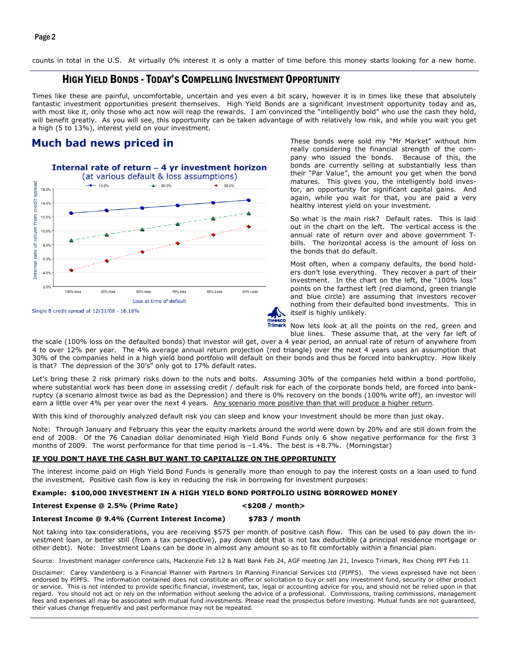Page 2

counts in total in the U.S. At virtually 0% interest it is only a matter of time before this money starts looking for a new home.

## HIGH YIELD BONDS - TODAY'S COMPELLING INVESTMENT OPPORTUNITY

Times like these are painful, uncomfortable, uncertain and yes even a bit scary, however it is in times like these that absolutely fantastic investment opportunities present themselves. High Yield Bonds are a significant investment opportunity today and as, with most like it, only those who act now will reap the rewards. I am convinced the "intelligently bold" who use the cash they hold, will benefit greatly. As you will see, this opportunity can be taken advantage of with relatively low risk, and while you wait you get a high (5 to 13%), interest yield on your investment.

### **Much bad news priced in**



These bonds were sold my "Mr Market" without him really considering the financial strength of the company who issued the bonds. Because of this, the bonds are currently selling at substantially less than their "Par Value", the amount you get when the bond matures. This gives you, the intelligently bold investor, an opportunity for significant capital gains. And again, while you wait for that, you are paid a very healthy interest yield on your investment.

So what is the main risk? Default rates. This is laid out in the chart on the left. The vertical access is the annual rate of return over and above government Tbills. The horizontal access is the amount of loss on the bonds that do default.

Most often, when a company defaults, the bond holders don't lose everything. They recover a part of their investment. In the chart on the left, the "100% loss" points on the farthest left (red diamond, green triangle and blue circle) are assuming that investors recover nothing from their defaulted bond investments. This in itself is highly unlikely.

Now lets look at all the points on the red, green and blue lines. These assume that, at the very far left of

the scale (100% loss on the defaulted bonds) that investor will get, over a 4 year period, an annual rate of return of anywhere from 4 to over 12% per year. The 4% average annual return projection (red triangle) over the next 4 years uses an assumption that 30% of the companies held in a high yield bond portfolio will default on their bonds and thus be forced into bankruptcy. How likely is that? The depression of the 30's" only got to 17% default rates.

Let's bring these 2 risk primary risks down to the nuts and bolts. Assuming 30% of the companies held within a bond portfolio, where substantial work has been done in assessing credit / default risk for each of the corporate bonds held, are forced into bankruptcy (a scenario almost twice as bad as the Depression) and there is 0% recovery on the bonds (100% write off), an investor will earn a little over 4% per year over the next 4 years. Any scenario more positive than that will produce a higher return.

With this kind of thoroughly analyzed default risk you can sleep and know your investment should be more than just okay.

Note: Through January and February this year the equity markets around the world were down by 20% and are still down from the end of 2008. Of the 76 Canadian dollar denominated High Yield Bond Funds only 6 show negative performance for the first 3 months of 2009. The worst performance for that time period is –1.4%. The best is +8.7%. (Morningstar)

#### IF YOU DON'T HAVE THE CASH BUT WANT TO CAPITALIZE ON THE OPPORTUNITY

The interest income paid on High Yield Bond Funds is generally more than enough to pay the interest costs on a loan used to fund the investment. Positive cash flow is key in reducing the risk in borrowing for investment purposes:

#### Example: \$100,000 INVESTMENT IN A HIGH YIELD BOND PORTFOLIO USING BORROWED MONEY

Interest Expense @ 2.5% (Prime Rate) <\$208 / month>

#### Interest Income @ 9.4% (Current Interest Income) \$783 / month

Not taking into tax considerations, you are receiving \$575 per month of positive cash flow. This can be used to pay down the investment loan, or better still (from a tax perspective), pay down debt that is not tax deductible (a principal residence mortgage or other debt). Note: Investment Loans can be done in almost any amount so as to fit comfortably within a financial plan.

Source: Investment manager conference calls, Mackenzie Feb 12 & Natl Bank Feb 24, AGF meeting Jan 21, Invesco Trimark, Rex Chong PPT Feb 11

Disclaimer: Carey Vandenberg is a Financial Planner with Partners In Planning Financial Services Ltd (PIPFS). The views expressed have not been endorsed by PIPFS. The information contained does not constitute an offer or solicitation to buy or sell any investment fund, security or other product or service. This is not intended to provide specific financial, investment, tax, legal or accounting advice for you, and should not be relied upon in that regard. You should not act or rely on the information without seeking the advice of a professional. Commissions, trailing commissions, management fees and expenses all may be associated with mutual fund investments. Please read the prospectus before investing. Mutual funds are not guaranteed, their values change frequently and past performance may not be repeated.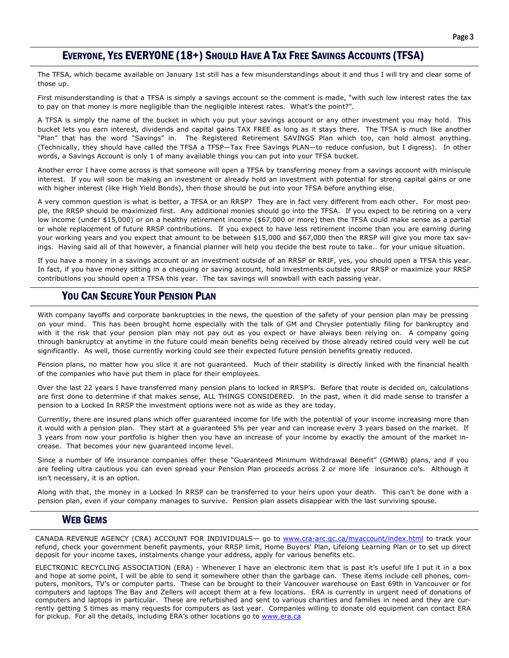# EVERYONE, YES EVERYONE (18+) SHOULD HAVE A TAX FREE SAVINGS ACCOUNTS (TFSA)

The TFSA, which became available on January 1st still has a few misunderstandings about it and thus I will try and clear some of those up.

First misunderstanding is that a TFSA is simply a savings account so the comment is made, "with such low interest rates the tax to pay on that money is more negligible than the negligible interest rates. What's the point?".

A TFSA is simply the name of the bucket in which you put your savings account or any other investment you may hold. This bucket lets you earn interest, dividends and capital gains TAX FREE as long as it stays there. The TFSA is much like another "Plan" that has the word "Savings" in. The Registered Retirement SAVINGS Plan which too, can hold almost anything. (Technically, they should have called the TFSA a TFSP—Tax Free Savings PLAN—to reduce confusion, but I digress). In other words, a Savings Account is only 1 of many available things you can put into your TFSA bucket.

Another error I have come across is that someone will open a TFSA by transferring money from a savings account with miniscule interest. If you will soon be making an investment or already hold an investment with potential for strong capital gains or one with higher interest (like High Yield Bonds), then those should be put into your TFSA before anything else.

A very common question is what is better, a TFSA or an RRSP? They are in fact very different from each other. For most people, the RRSP should be maximized first. Any additional monies should go into the TFSA. If you expect to be retiring on a very low income (under \$15,000) or on a healthy retirement income (\$67,000 or more) then the TFSA could make sense as a partial or whole replacement of future RRSP contributions. If you expect to have less retirement income than you are earning during your working years and you expect that amount to be between \$15,000 and \$67,000 then the RRSP will give you more tax savings. Having said all of that however, a financial planner will help you decide the best route to take… for your unique situation.

If you have a money in a savings account or an investment outside of an RRSP or RRIF, yes, you should open a TFSA this year. In fact, if you have money sitting in a chequing or saving account, hold investments outside your RRSP or maximize your RRSP contributions you should open a TFSA this year. The tax savings will snowball with each passing year.

# YOU CAN SECURE YOUR PENSION PLAN

With company layoffs and corporate bankruptcies in the news, the question of the safety of your pension plan may be pressing on your mind. This has been brought home especially with the talk of GM and Chrysler potentially filing for bankruptcy and with it the risk that your pension plan may not pay out as you expect or have always been relying on. A company going through bankruptcy at anytime in the future could mean benefits being received by those already retired could very well be cut significantly. As well, those currently working could see their expected future pension benefits greatly reduced.

Pension plans, no matter how you slice it are not guaranteed. Much of their stability is directly linked with the financial health of the companies who have put them in place for their employees.

Over the last 22 years I have transferred many pension plans to locked in RRSP's. Before that route is decided on, calculations are first done to determine if that makes sense, ALL THINGS CONSIDERED. In the past, when it did made sense to transfer a pension to a Locked In RRSP the investment options were not as wide as they are today.

Currently, there are insured plans which offer guaranteed income for life with the potential of your income increasing more than it would with a pension plan. They start at a guaranteed 5% per year and can increase every 3 years based on the market. If 3 years from now your portfolio is higher then you have an increase of your income by exactly the amount of the market increase. That becomes your new guaranteed income level.

Since a number of life insurance companies offer these "Guaranteed Minimum Withdrawal Benefit" (GMWB) plans, and if you are feeling ultra cautious you can even spread your Pension Plan proceeds across 2 or more life insurance co's. Although it isn't necessary, it is an option.

Along with that, the money in a Locked In RRSP can be transferred to your heirs upon your death. This can't be done with a pension plan, even if your company manages to survive. Pension plan assets disappear with the last surviving spouse.

### WEB GEMS

CANADA REVENUE AGENCY (CRA) ACCOUNT FOR INDIVIDUALS— go to www.cra-arc.gc.ca/myaccount/index.html to track your refund, check your government benefit payments, your RRSP limit, Home Buyers' Plan, Lifelong Learning Plan or to set up direct deposit for your income taxes, instalments change your address, apply for various benefits etc.

ELECTRONIC RECYCLING ASSOCIATION (ERA) - Whenever I have an electronic item that is past it's useful life I put it in a box and hope at some point, I will be able to send it somewhere other than the garbage can. These items include cell phones, computers, monitors, TV's or computer parts. These can be brought to their Vancouver warehouse on East 69th in Vancouver or for computers and laptops The Bay and Zellers will accept them at a few locations. ERA is currently in urgent need of donations of computers and laptops in particular. These are refurbished and sent to various charities and families in need and they are currently getting 5 times as many requests for computers as last year. Companies willing to donate old equipment can contact ERA for pickup. For all the details, including ERA's other locations go to www.era.ca